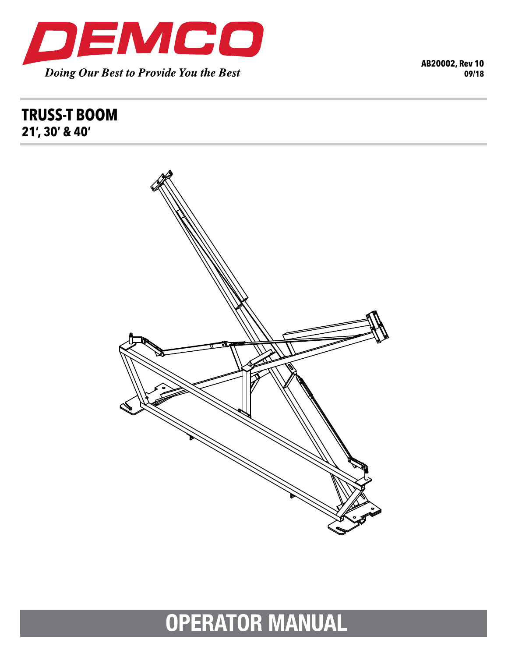

**AB20002, Rev 10 09/18**

## **t russ-t boom 21', 30' & 40'**



## **OPERATOR MANUAL**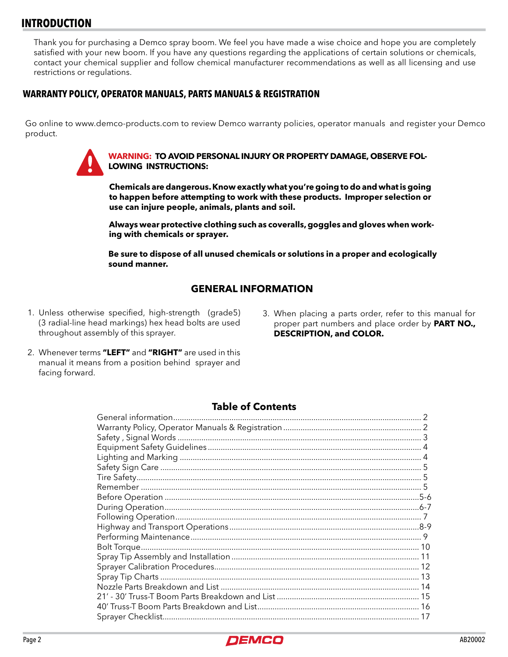#### **INTRODUCTION**

Thank you for purchasing a Demco spray boom. We feel you have made a wise choice and hope you are completely satisfied with your new boom. If you have any questions regarding the applications of certain solutions or chemicals, contact your chemical supplier and follow chemical manufacturer recommendations as well as all licensing and use restrictions or regulations.

#### **WARRANTY POLICY, OPERATOR MANUALS, PARTS MANUALS & REGISTRATION**

Go online to www.demco-products.com to review Demco warranty policies, operator manuals and register your Demco product.



**WARNING: To Avoid Personal Injury or Property Damage, Observe Following Instructions:**

**Chemicals are dangerous. Know exactly what you're going to do and what is going to happen before attempting to work with these products. Improper selection or use can injure people, animals, plants and soil.** 

**Always wear protective clothing such as coveralls, goggles and gloves when working with chemicals or sprayer.**

**Be sure to dispose of all unused chemicals or solutions in a proper and ecologically sound manner.**

#### **GENERAL INFORMATION**

- 1. Unless otherwise specified, high-strength (grade5) (3 radial-line head markings) hex head bolts are used throughout assembly of this sprayer.
- 3. When placing a parts order, refer to this manual for proper part numbers and place order by **PART NO., DESCRIPTION, and COLOR.**
- 2. Whenever terms **"LEFT"** and **"RIGHT"** are used in this manual it means from a position behind sprayer and facing forward.

#### **Table of Contents**

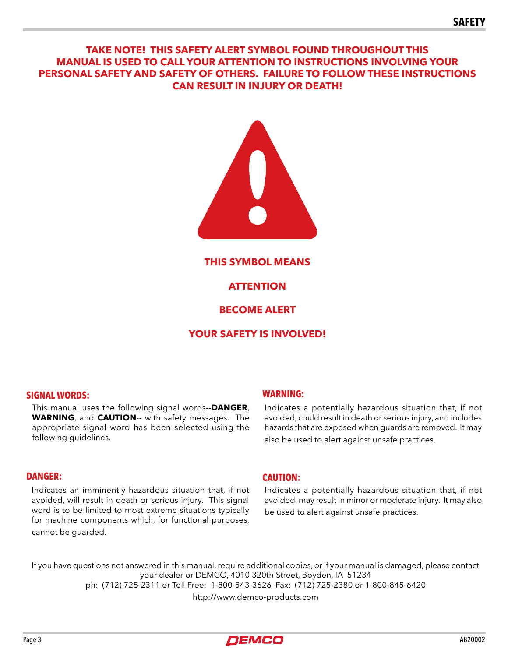#### **TAKE NOTE! THIS SAFETY ALERT SYMBOL FOUND THROUGHOUT THIS MANUAL IS USED TO CALL YOUR ATTENTION TO INSTRUCTIONS INVOLVING YOUR PERSONAL SAFETY AND SAFETY OF OTHERS. FAILURE TO FOLLOW THESE INSTRUCTIONS CAN RESULT IN INJURY OR DEATH!**



**THIS SYMBOL MEANS**

**ATTENTION**

#### **BECOME ALERT**

#### **YOUR SAFETY IS INVOLVED!**

#### **SIGNAL WORDS:**

This manual uses the following signal words--**DANGER**, **WARNING**, and **CAUTION**-- with safety messages. The appropriate signal word has been selected using the following guidelines.

#### **DANGER:**

Indicates an imminently hazardous situation that, if not avoided, will result in death or serious injury. This signal word is to be limited to most extreme situations typically for machine components which, for functional purposes, cannot be guarded.

#### **warning:**

Indicates a potentially hazardous situation that, if not avoided, could result in death or serious injury, and includes hazards that are exposed when guards are removed. It may also be used to alert against unsafe practices.

#### **caution:**

Indicates a potentially hazardous situation that, if not avoided, may result in minor or moderate injury. It may also be used to alert against unsafe practices.

If you have questions not answered in this manual, require additional copies, or if your manual is damaged, please contact your dealer or DEMCO, 4010 320th Street, Boyden, IA 51234 ph: (712) 725-2311 or Toll Free: 1-800-543-3626 Fax: (712) 725-2380 or 1-800-845-6420

http://www.demco-products.com

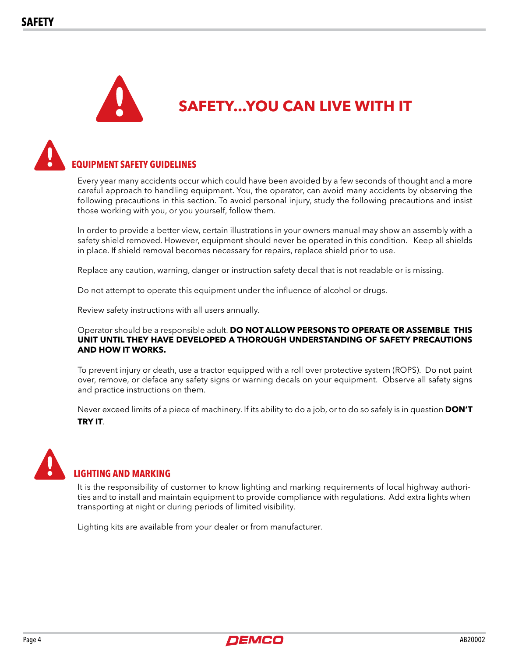## **SAFETY...you can live with it**



#### **EXPLOSE SAFETY GUIDELINES**

Every year many accidents occur which could have been avoided by a few seconds of thought and a more careful approach to handling equipment. You, the operator, can avoid many accidents by observing the following precautions in this section. To avoid personal injury, study the following precautions and insist those working with you, or you yourself, follow them.

In order to provide a better view, certain illustrations in your owners manual may show an assembly with a safety shield removed. However, equipment should never be operated in this condition. Keep all shields in place. If shield removal becomes necessary for repairs, replace shield prior to use.

Replace any caution, warning, danger or instruction safety decal that is not readable or is missing.

Do not attempt to operate this equipment under the influence of alcohol or drugs.

Review safety instructions with all users annually.

#### Operator should be a responsible adult. **Do not allow persons to operate or assemble this unit until they have developed a thorough understanding of safety precautions and how it works.**

To prevent injury or death, use a tractor equipped with a roll over protective system (ROPS). Do not paint over, remove, or deface any safety signs or warning decals on your equipment. Observe all safety signs and practice instructions on them.

Never exceed limits of a piece of machinery. If its ability to do a job, or to do so safely is in question **DON'T try it**.



#### **Lighting and marking**

It is the responsibility of customer to know lighting and marking requirements of local highway authorities and to install and maintain equipment to provide compliance with regulations. Add extra lights when transporting at night or during periods of limited visibility.

Lighting kits are available from your dealer or from manufacturer.

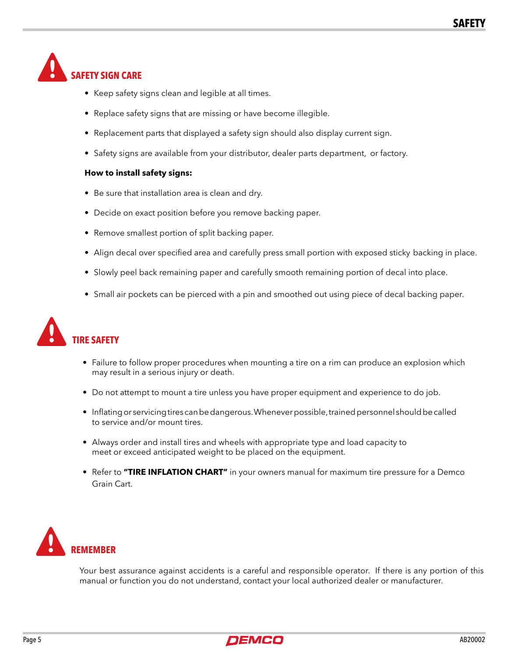## **FETY SIGN CARE**

- Keep safety signs clean and legible at all times.
- Replace safety signs that are missing or have become illegible.
- Replacement parts that displayed a safety sign should also display current sign.
- Safety signs are available from your distributor, dealer parts department, or factory.

#### **How to install safety signs:**

- Be sure that installation area is clean and dry.
- Decide on exact position before you remove backing paper.
- Remove smallest portion of split backing paper.
- Align decal over specified area and carefully press small portion with exposed sticky backing in place.
- Slowly peel back remaining paper and carefully smooth remaining portion of decal into place.
- • Small air pockets can be pierced with a pin and smoothed out using piece of decal backing paper.



- Failure to follow proper procedures when mounting a tire on a rim can produce an explosion which may result in a serious injury or death.
- Do not attempt to mount a tire unless you have proper equipment and experience to do job.
- Inflating or servicing tires can be dangerous. Whenever possible, trained personnel should be called to service and/or mount tires.
- Always order and install tires and wheels with appropriate type and load capacity to meet or exceed anticipated weight to be placed on the equipment.
- **Refer to "TIRE INFLATION CHART"** in your owners manual for maximum tire pressure for a Demco Grain Cart.



Your best assurance against accidents is a careful and responsible operator. If there is any portion of this manual or function you do not understand, contact your local authorized dealer or manufacturer.

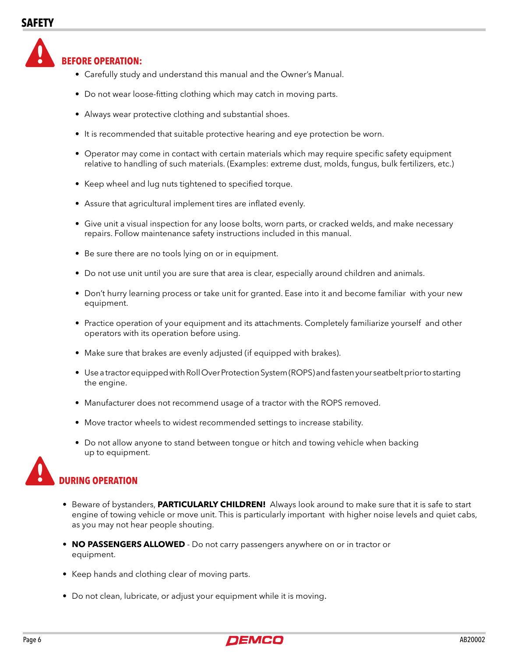#### **SAFETY**



- Carefully study and understand this manual and the Owner's Manual.
- Do not wear loose-fitting clothing which may catch in moving parts.
- Always wear protective clothing and substantial shoes.
- • It is recommended that suitable protective hearing and eye protection be worn.
- • Operator may come in contact with certain materials which may require specific safety equipment relative to handling of such materials. (Examples: extreme dust, molds, fungus, bulk fertilizers, etc.)
- Keep wheel and lug nuts tightened to specified torque.
- Assure that agricultural implement tires are inflated evenly.
- • Give unit a visual inspection for any loose bolts, worn parts, or cracked welds, and make necessary repairs. Follow maintenance safety instructions included in this manual.
- Be sure there are no tools lying on or in equipment.
- • Do not use unit until you are sure that area is clear, especially around children and animals.
- Don't hurry learning process or take unit for granted. Ease into it and become familiar with your new equipment.
- Practice operation of your equipment and its attachments. Completely familiarize yourself and other operators with its operation before using.
- Make sure that brakes are evenly adjusted (if equipped with brakes).
- Use a tractor equipped with Roll Over Protection System (ROPS) and fasten your seatbelt prior to starting the engine.
- Manufacturer does not recommend usage of a tractor with the ROPS removed.
- Move tractor wheels to widest recommended settings to increase stability.
- Do not allow anyone to stand between tongue or hitch and towing vehicle when backing up to equipment.

## **URING OPERATION**

- • Beware of bystanders, **PARTICULARLY CHILDREN!** Always look around to make sure that it is safe to start engine of towing vehicle or move unit. This is particularly important with higher noise levels and quiet cabs, as you may not hear people shouting.
- **NO PASSENGERS ALLOWED**  Do not carry passengers anywhere on or in tractor or equipment.
- Keep hands and clothing clear of moving parts.
- Do not clean, lubricate, or adjust your equipment while it is moving.

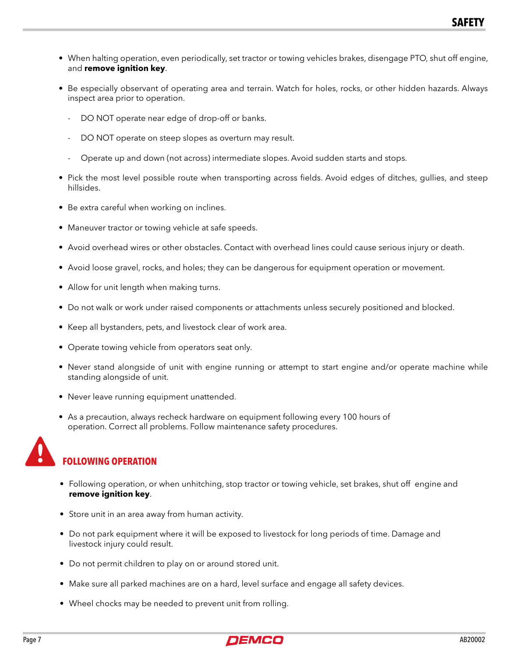- • When halting operation, even periodically, set tractor or towing vehicles brakes, disengage PTO, shut off engine, and **remove ignition key**.
- Be especially observant of operating area and terrain. Watch for holes, rocks, or other hidden hazards. Always inspect area prior to operation.
	- DO NOT operate near edge of drop-off or banks.
	- DO NOT operate on steep slopes as overturn may result.
	- Operate up and down (not across) intermediate slopes. Avoid sudden starts and stops.
- Pick the most level possible route when transporting across fields. Avoid edges of ditches, gullies, and steep hillsides.
- Be extra careful when working on inclines.
- Maneuver tractor or towing vehicle at safe speeds.
- • Avoid overhead wires or other obstacles. Contact with overhead lines could cause serious injury or death.
- • Avoid loose gravel, rocks, and holes; they can be dangerous for equipment operation or movement.
- Allow for unit length when making turns.
- • Do not walk or work under raised components or attachments unless securely positioned and blocked.
- Keep all bystanders, pets, and livestock clear of work area.
- Operate towing vehicle from operators seat only.
- Never stand alongside of unit with engine running or attempt to start engine and/or operate machine while standing alongside of unit.
- Never leave running equipment unattended.
- • As a precaution, always recheck hardware on equipment following every 100 hours of operation. Correct all problems. Follow maintenance safety procedures.



#### **Following operation**

- Following operation, or when unhitching, stop tractor or towing vehicle, set brakes, shut off engine and **remove ignition key**.
- Store unit in an area away from human activity.
- • Do not park equipment where it will be exposed to livestock for long periods of time. Damage and livestock injury could result.
- Do not permit children to play on or around stored unit.
- • Make sure all parked machines are on a hard, level surface and engage all safety devices.
- Wheel chocks may be needed to prevent unit from rolling.

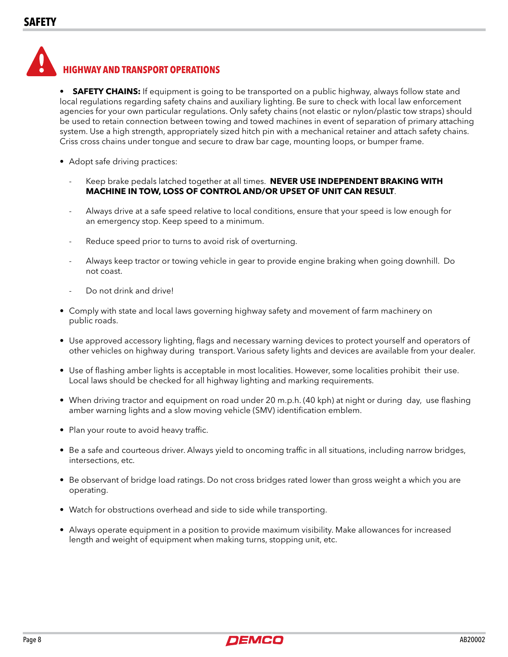# **Highway and transport operations**

**• SAFETY CHAINS:** If equipment is going to be transported on a public highway, always follow state and local regulations regarding safety chains and auxiliary lighting. Be sure to check with local law enforcement agencies for your own particular regulations. Only safety chains (not elastic or nylon/plastic tow straps) should be used to retain connection between towing and towed machines in event of separation of primary attaching system. Use a high strength, appropriately sized hitch pin with a mechanical retainer and attach safety chains. Criss cross chains under tongue and secure to draw bar cage, mounting loops, or bumper frame.

- Adopt safe driving practices:
	- Keep brake pedals latched together at all times. **NEVER USE INDEPENDENT BRAKING WITH MACHINE IN TOW, LOSS OF CONTROL AND/OR UPSET OF UNIT CAN RESULT**.
	- Always drive at a safe speed relative to local conditions, ensure that your speed is low enough for an emergency stop. Keep speed to a minimum.
	- Reduce speed prior to turns to avoid risk of overturning.
	- Always keep tractor or towing vehicle in gear to provide engine braking when going downhill. Do not coast.
	- Do not drink and drive!
- • Comply with state and local laws governing highway safety and movement of farm machinery on public roads.
- • Use approved accessory lighting, flags and necessary warning devices to protect yourself and operators of other vehicles on highway during transport. Various safety lights and devices are available from your dealer.
- Use of flashing amber lights is acceptable in most localities. However, some localities prohibit their use. Local laws should be checked for all highway lighting and marking requirements.
- When driving tractor and equipment on road under 20 m.p.h. (40 kph) at night or during day, use flashing amber warning lights and a slow moving vehicle (SMV) identification emblem.
- Plan your route to avoid heavy traffic.
- • Be a safe and courteous driver. Always yield to oncoming traffic in all situations, including narrow bridges, intersections, etc.
- Be observant of bridge load ratings. Do not cross bridges rated lower than gross weight a which you are operating.
- Watch for obstructions overhead and side to side while transporting.
- • Always operate equipment in a position to provide maximum visibility. Make allowances for increased length and weight of equipment when making turns, stopping unit, etc.

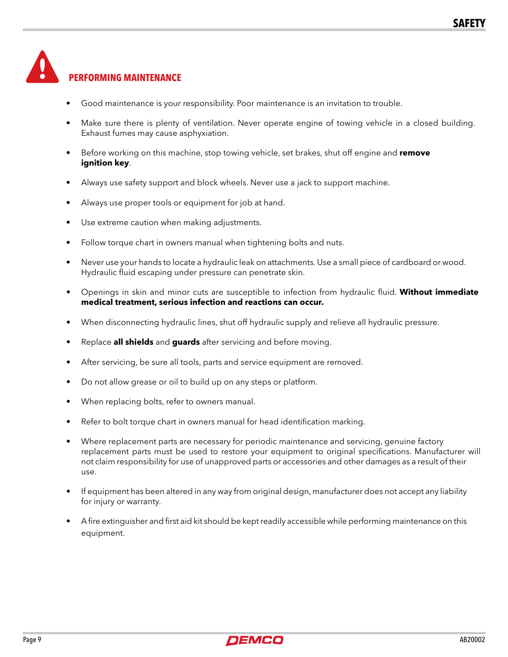

#### **REORMING MAINTENANCE**

- Good maintenance is your responsibility. Poor maintenance is an invitation to trouble.
- Make sure there is plenty of ventilation. Never operate engine of towing vehicle in a closed building. Exhaust fumes may cause asphyxiation.
- Before working on this machine, stop towing vehicle, set brakes, shut off engine and **remove ignition key**.
- Always use safety support and block wheels. Never use a jack to support machine.
- Always use proper tools or equipment for job at hand.
- Use extreme caution when making adjustments.
- Follow torque chart in owners manual when tightening bolts and nuts.
- Never use your hands to locate a hydraulic leak on attachments. Use a small piece of cardboard or wood. Hydraulic fluid escaping under pressure can penetrate skin.
- • Openings in skin and minor cuts are susceptible to infection from hydraulic fluid. **Without immediate medical treatment, serious infection and reactions can occur.**
- When disconnecting hydraulic lines, shut off hydraulic supply and relieve all hydraulic pressure.
- Replace **all shields** and **guards** after servicing and before moving.
- After servicing, be sure all tools, parts and service equipment are removed.
- Do not allow grease or oil to build up on any steps or platform.
- When replacing bolts, refer to owners manual.
- Refer to bolt torque chart in owners manual for head identification marking.
- Where replacement parts are necessary for periodic maintenance and servicing, genuine factory replacement parts must be used to restore your equipment to original specifications. Manufacturer will not claim responsibility for use of unapproved parts or accessories and other damages as a result of their use.
- If equipment has been altered in any way from original design, manufacturer does not accept any liability for injury or warranty.
- A fire extinguisher and first aid kit should be kept readily accessible while performing maintenance on this equipment.

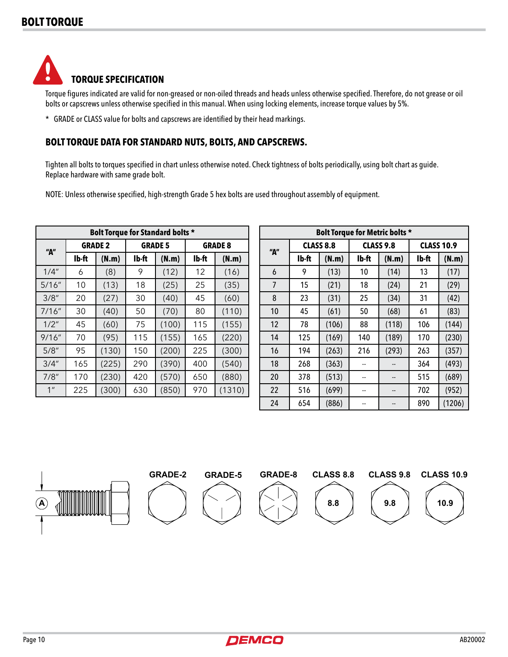

Torque figures indicated are valid for non-greased or non-oiled threads and heads unless otherwise specified. Therefore, do not grease or oil bolts or capscrews unless otherwise specified in this manual. When using locking elements, increase torque values by 5%.

\* GRADE or CLASS value for bolts and capscrews are identified by their head markings.

#### **BOLT TORQUE DATA FOR STANDARD NUTS, BOLTS, AND CAPSCREWS.**

Tighten all bolts to torques specified in chart unless otherwise noted. Check tightness of bolts periodically, using bolt chart as guide. Replace hardware with same grade bolt.

NOTE: Unless otherwise specified, high-strength Grade 5 hex bolts are used throughout assembly of equipment.

| <b>Bolt Torque for Standard bolts *</b> |       |                |       |                |                |        |  |
|-----------------------------------------|-------|----------------|-------|----------------|----------------|--------|--|
| "A"                                     |       | <b>GRADE 2</b> |       | <b>GRADE 5</b> | <b>GRADE 8</b> |        |  |
|                                         | lb-ft | (N.m)          | lb-ft | (N.m)          | lb-ft          | (N.m)  |  |
| 1/4''                                   | 6     | (8)            | 9     | (12)           | 12             | (16)   |  |
| 5/16''                                  | 10    | (13)           | 18    | (25)           | 25             | (35)   |  |
| 3/8''                                   | 20    | (27)           | 30    | (40)           | 45             | (60)   |  |
| 7/16''                                  | 30    | (40)           | 50    | (70)           | 80             | (110)  |  |
| 1/2"                                    | 45    | (60)           | 75    | (100)          | 115            | (155)  |  |
| 9/16''                                  | 70    | (95)           | 115   | (155)          | 165            | (220)  |  |
| 5/8"                                    | 95    | (130)          | 150   | (200)          | 225            | (300)  |  |
| 3/4''                                   | 165   | (225)          | 290   | (390)          | 400            | (540)  |  |
| 7/8''                                   | 170   | (230)          | 420   | (570)          | 650            | (880)  |  |
| 1 <sup>''</sup>                         | 225   | (300)          | 630   | (850)          | 970            | (1310) |  |

| <b>Bolt Torque for Metric bolts *</b> |       |                  |       |                  |                   |        |  |  |
|---------------------------------------|-------|------------------|-------|------------------|-------------------|--------|--|--|
| "A"                                   |       | <b>CLASS 8.8</b> |       | <b>CLASS 9.8</b> | <b>CLASS 10.9</b> |        |  |  |
|                                       | lb-ft | (N.m)            | lb-ft | (N.m)            | lb-ft             | (N.m)  |  |  |
| 6                                     | 9     | (13)             | 10    | (14)             | 13                | (17)   |  |  |
| 7                                     | 15    | (21)             | 18    | (24)             | 21                | (29)   |  |  |
| 8                                     | 23    | (31)             | 25    | (34)             | 31                | (42)   |  |  |
| 10                                    | 45    | (61)             | 50    | (68)             | 61                | (83)   |  |  |
| 12                                    | 78    | (106)            | 88    | (118)            | 106               | (144)  |  |  |
| 14                                    | 125   | (169)            | 140   | (189)            | 170               | (230)  |  |  |
| 16                                    | 194   | (263)            | 216   | (293)            | 263               | (357)  |  |  |
| 18                                    | 268   | (363)            |       |                  | 364               | (493)  |  |  |
| 20                                    | 378   | (513)            | --    | --               | 515               | (689)  |  |  |
| 22                                    | 516   | (699)            |       |                  | 702               | (952)  |  |  |
| 24                                    | 654   | (886)            |       |                  | 890               | (1206) |  |  |



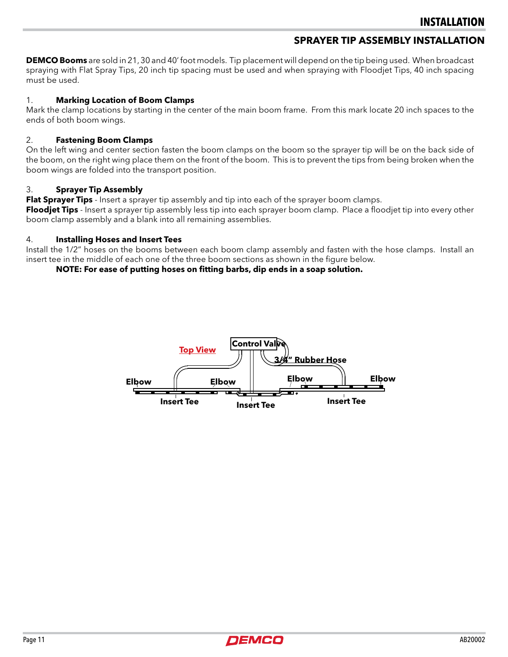#### **Sprayer tip assembly Installation**

**DEMCO Booms** are sold in 21, 30 and 40' foot models. Tip placement will depend on the tip being used. When broadcast spraying with Flat Spray Tips, 20 inch tip spacing must be used and when spraying with Floodjet Tips, 40 inch spacing must be used.

#### 1. **Marking Location of Boom Clamps**

Mark the clamp locations by starting in the center of the main boom frame. From this mark locate 20 inch spaces to the ends of both boom wings.

#### 2. **Fastening Boom Clamps**

On the left wing and center section fasten the boom clamps on the boom so the sprayer tip will be on the back side of the boom, on the right wing place them on the front of the boom. This is to prevent the tips from being broken when the boom wings are folded into the transport position.

#### 3. **Sprayer Tip Assembly**

**Flat Sprayer Tips** - Insert a sprayer tip assembly and tip into each of the sprayer boom clamps.

**Floodjet Tips** - Insert a sprayer tip assembly less tip into each sprayer boom clamp. Place a floodjet tip into every other boom clamp assembly and a blank into all remaining assemblies.

#### 4. **Installing Hoses and Insert Tees**

Install the 1/2" hoses on the booms between each boom clamp assembly and fasten with the hose clamps. Install an insert tee in the middle of each one of the three boom sections as shown in the figure below.

#### **NOTE: For ease of putting hoses on fitting barbs, dip ends in a soap solution.**



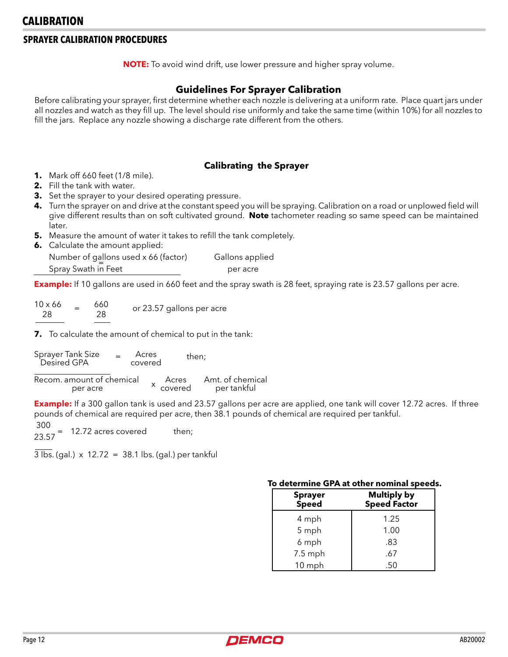#### **CALIBRATION**

#### **SPRAYER CALIBRATION PROCEDURES**

**NOTE:** To avoid wind drift, use lower pressure and higher spray volume.

#### **Guidelines For Sprayer Calibration**

Before calibrating your sprayer, first determine whether each nozzle is delivering at a uniform rate. Place quart jars under all nozzles and watch as they fill up. The level should rise uniformly and take the same time (within 10%) for all nozzles to fill the jars. Replace any nozzle showing a discharge rate different from the others.

#### **Calibrating the Sprayer**

- **1.** Mark off 660 feet (1/8 mile).
- **2.** Fill the tank with water.
- **3.** Set the sprayer to your desired operating pressure.
- **4.** Turn the sprayer on and drive at the constant speed you will be spraying. Calibration on a road or unplowed field will give different results than on soft cultivated ground. **Note** tachometer reading so same speed can be maintained later.
- **5.** Measure the amount of water it takes to refill the tank completely.
- **6.** Calculate the amount applied:

Number of gallons used x 66 (factor) Gallons applied<br>Spray Swath in Feet per acre

**Example:** If 10 gallons are used in 660 feet and the spray swath is 28 feet, spraying rate is 23.57 gallons per acre.

| $10 \times 66$<br>28 | 660<br>28 | or 23.57 gallons per acre |
|----------------------|-----------|---------------------------|
|                      |           |                           |

**7.** To calculate the amount of chemical to put in the tank:

Sprayer Tank Size  $=$  Acres then;<br>Desired GPA covered Recom. amount of chemical Acres Amt. of chemical<br>per acre Acres Acreed per tankful  $x \nvert$  covered

**Example:** If a 300 gallon tank is used and 23.57 gallons per acre are applied, one tank will cover 12.72 acres. If three pounds of chemical are required per acre, then 38.1 pounds of chemical are required per tankful.

 $\frac{300}{23.57}$  = 12.72 acres covered then;

3 lbs. (gal.) x 12.72 = 38.1 lbs. (gal.) per tankful

| To determine GPA at other nominal speeds. |                                           |  |  |  |
|-------------------------------------------|-------------------------------------------|--|--|--|
| <b>Sprayer</b><br>Speed                   | <b>Multiply by</b><br><b>Speed Factor</b> |  |  |  |
| 4 mph                                     | 1.25                                      |  |  |  |
| 5 mph                                     | 1.00                                      |  |  |  |
| 6 mph                                     | .83                                       |  |  |  |
| $7.5$ mph                                 | .67                                       |  |  |  |
| 10 mph                                    | .50                                       |  |  |  |

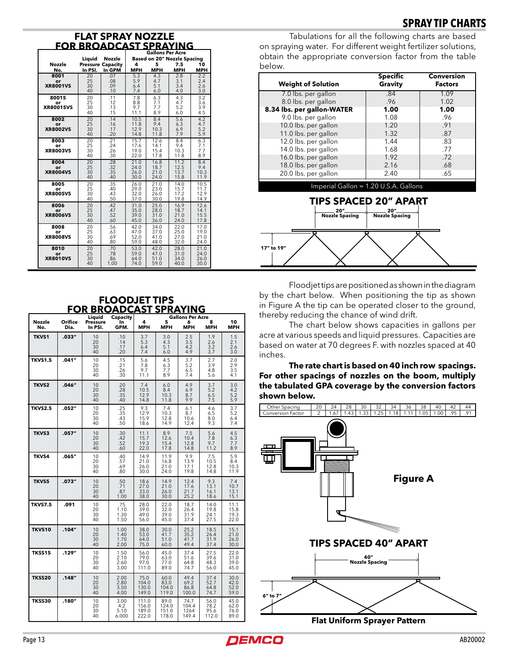### **SPRAY TIP CHARTS**

#### **flat spray nozzle for broadcast spraying**

| <b>Nozzle</b><br>No.<br>8001<br>or<br><b>XR8001VS</b><br>80015 | Liquid<br><b>Pressure Capacity</b><br>In PSI. | Nozzle         |              |              | <b>Based on 20" Nozzle Spacing</b> |              |
|----------------------------------------------------------------|-----------------------------------------------|----------------|--------------|--------------|------------------------------------|--------------|
|                                                                |                                               |                | 4            | 5            | 7.5                                | 10           |
|                                                                |                                               | In GPM         | <b>MPH</b>   | <b>MPH</b>   | <b>MPH</b>                         | <b>MPH</b>   |
|                                                                | 20<br>25                                      | .07<br>.08     | 5.3<br>5.9   | 4.3<br>4.7   | 2.8<br>3.1                         | 2.2<br>2.4   |
|                                                                | 30                                            | .09            | 6.4          | 5.1          | 3.4                                | 2.6          |
|                                                                | 40                                            | .10            | 7.4          | 6.0          | 4.0                                | 3.0          |
|                                                                | 20                                            | .11            | 7.8          | 6.3          | 4.3                                | 3.2          |
| or<br><b>XR80015VS</b>                                         | 25<br>30                                      | .12<br>.13     | 8.8<br>9.7   | 7.1<br>7.7   | 4.7<br>5.2                         | 3.6<br>3.9   |
|                                                                | 40                                            | .15            | 11.1         | 8.9          | 6.0                                | 4.5          |
| 8002                                                           | 20                                            | .14            | 10.5         | 8.4          | 5.6                                | 4.2          |
| or<br><b>XR8002VS</b>                                          | 25<br>30                                      | .16<br>.17     | 11.8<br>12.9 | 9.4<br>10.3  | 6.3<br>6.9                         | 4.7<br>5.2   |
|                                                                | 40                                            | .20            | 14.8         | 11.8         | 7.9                                | 5.9          |
| 8003                                                           | 20                                            | .21            | 15.7         | 12.6         | 8.4                                | 6.3          |
| or<br><b>XR8003VS</b>                                          | 25<br>30                                      | .24            | 17.6<br>19.0 | 14.1<br>15.4 | 9.4<br>10.3                        | 7.1<br>7.7   |
|                                                                | 40                                            | $.26$<br>$.30$ | 22.0         | 17.8         | 11.8                               | 8.9          |
| 8004                                                           | 20                                            | .28            | 21.0         | 16.8         | 11.2                               | 8.4          |
| or<br><b>XR8004VS</b>                                          | 25<br>30                                      | .32<br>.35     | 24.0<br>26.0 | 18.7<br>21.0 | 12.5<br>13.7                       | 9.4<br>10.3  |
|                                                                | 40                                            | .40            | 30.0         | 24.0         | 15.8                               | 11.9         |
| 8005                                                           | 20                                            | .35            | 26.0         | 21.0         | 14.0                               | 10.5         |
| or<br><b>XR8005VS</b>                                          | 25<br>30                                      | .40<br>.43     | 29.0<br>32.0 | 23.0<br>26.0 | 15.7<br>17.2                       | 11.7<br>12.9 |
|                                                                | 40                                            | .50            | 37.0         | 30.0         | 19.8                               | 14.9         |
| 8006                                                           | 20                                            | .42            | 31.0         | 25.0         | 16.9                               | 12.6         |
| or<br><b>XR8006VS</b>                                          | 25<br>30                                      | .47<br>.52     | 35.0<br>39.0 | 28.0<br>31.0 | 18.7<br>21.0                       | 14.1<br>15.5 |
|                                                                | 40                                            | .60            | 45.0         | 36.0         | 24.0                               | 17.8         |
| 8008                                                           | 20                                            | .56            | 42.0         | 34.0         | 22.0                               | 17.0         |
| or<br><b>XR8008VS</b>                                          | 25<br>30                                      | .63<br>.69     | 47.0<br>52.0 | 37.0<br>41.0 | 25.0<br>27.0                       | 19.0<br>21.0 |
|                                                                | 40                                            | .80            | 59.0         | 48.0         | 32.0                               | 24.0         |
| 8010                                                           | 20                                            | .70            | 53.0         | 42.0         | 28.0                               | 21.0         |
| or<br><b>XR8010VS</b>                                          | 25<br>30                                      | .78<br>.86     | 59.0<br>64.0 | 47.0<br>51.0 | 31.0<br>34.0                       | 24.0<br>26.0 |
|                                                                | 40                                            | 1.00           | 74.0         | 59.0         | 40.0                               | 30.0         |

Tabulations for all the following charts are based on spraying water. For different weight fertilizer solutions, obtain the appropriate conversion factor from the table below.

| <b>Weight of Solution</b>             | <b>Specific</b><br>Gravity | <b>Conversion</b><br><b>Factors</b> |  |  |
|---------------------------------------|----------------------------|-------------------------------------|--|--|
| 7.0 lbs. per gallon                   | .84                        | 1.09                                |  |  |
| 8.0 lbs. per gallon                   | .96                        | 1.02                                |  |  |
| 8.34 lbs. per gallon-WATER            | 1.00                       | 1.00                                |  |  |
| 9.0 lbs. per gallon                   | 1.08                       | .96                                 |  |  |
| 10.0 lbs. per gallon                  | 1.20                       | .91                                 |  |  |
| 11.0 lbs. per gallon                  | 1.32                       | .87                                 |  |  |
| 12.0 lbs. per gallon                  | 1.44                       | .83                                 |  |  |
| 14.0 lbs. per gallon                  | 1.68                       | .77                                 |  |  |
| 16.0 lbs. per gallon                  | 1.92                       | .72                                 |  |  |
| 18.0 lbs. per gallon                  | 2.16                       | .68                                 |  |  |
| 20.0 lbs. per gallon                  | 2.40                       | .65                                 |  |  |
| Imperial Gallon = 1.20 U.S.A. Gallons |                            |                                     |  |  |



#### **Floodjet tips for broadcast spraying**

|                |                 | Liquid                     | Capacity                     |                                  |                                 | <b>Gallons Per Acre</b>               |                               |                              |
|----------------|-----------------|----------------------------|------------------------------|----------------------------------|---------------------------------|---------------------------------------|-------------------------------|------------------------------|
| Nozzle<br>No.  | Orifice<br>Dia. | <b>Pressure</b><br>In PSI. | In<br>GPM.                   | 4<br><b>MPH</b>                  | 5<br><b>MPH</b>                 | 6<br><b>MPH</b>                       | 8<br><b>MPH</b>               | 10<br><b>MPH</b>             |
| <b>TKVS1</b>   | .033"           | 10<br>20<br>30<br>40       | .10<br>.14<br>.17<br>.20     | 3.7<br>5.3<br>6.4<br>7.4         | 3.0<br>4.3<br>5.1<br>6.0        | 2.5<br>$3.\overline{5}$<br>4.2<br>4.9 | 1.9<br>2.6<br>3.2<br>3.7      | 1.5<br>2.1<br>2.6<br>3.0     |
| <b>TKVS1.5</b> | .041''          | 10<br>20<br>30<br>40       | .15<br>.21<br>.26<br>.30     | 5.6<br>7.8<br>9.7<br>11.1        | 4.5<br>6.3<br>7.7<br>8.9        | 3.7<br>5.2<br>6.5<br>7.4              | 2.7<br>3.9<br>4.8<br>5.6      | 2.0<br>2.9<br>3.5<br>4.1     |
| TKVS2          | .046"           | 10<br>20<br>30<br>40       | .20<br>.28<br>.35<br>.40     | 7.4<br>10.5<br>12.9<br>14.8      | 6.0<br>8.4<br>10.3<br>11.8      | 4.9<br>6.9<br>8.7<br>9.9              | 3.7<br>5.2<br>6.5<br>7.5      | 3.0<br>4.2<br>5.2<br>5.9     |
| <b>TKVS2.5</b> | .052"           | 10<br>20<br>30<br>40       | .25<br>.35<br>.43<br>.50     | 9.3<br>12.9<br>15.9<br>18.6      | 7.4<br>10.3<br>12.8<br>14.9     | 6.1<br>8.7<br>10.6<br>12.4            | 4.6<br>6.5<br>8.0<br>9.3      | 3.7<br>5.2<br>6.4<br>7.4     |
| TKVS3          | .057"           | 10<br>20<br>30<br>40       | .30<br>.42<br>.52<br>.60     | 11.1<br>15.7<br>19.3<br>22.0     | 8.9<br>12.6<br>15.4<br>17.8     | 7.5<br>10.4<br>12.8<br>14.8           | 5.6<br>7.8<br>9.7<br>11.2     | 4.5<br>6.3<br>7.7<br>8.9     |
| TKVS4          | .065''          | 10<br>20<br>30<br>40       | .40<br>.57<br>.69<br>.80     | 14.9<br>21.0<br>26.0<br>30.0     | 11.9<br>16.8<br>21.0<br>24.0    | 9.9<br>13.9<br>17.1<br>19.8           | 7.5<br>10.5<br>12.8<br>14.8   | 5.9<br>8.4<br>10.3<br>11.9   |
| <b>TKVS5</b>   | .073"           | 10<br>20<br>30<br>40       | .50<br>.71<br>.87<br>1.00    | 18.6<br>27.0<br>33.0<br>38.0     | 14.9<br>21.0<br>26.0<br>30.0    | 12.4<br>17.6<br>21.7<br>25.2          | 9.3<br>13.1<br>16.1<br>18.6   | 7.4<br>10.7<br>13.1<br>15.1  |
| <b>TKVS7.5</b> | .091            | 10<br>20<br>30<br>40       | .75<br>1.10<br>1.30<br>1.50  | 28.0<br>39.0<br>49.0<br>56.0     | 22.0<br>32.0<br>39.0<br>45.0    | 18.7<br>26.4<br>31.9<br>37.4          | 14.0<br>19.8<br>24.1<br>27.5  | 11.1<br>15.8<br>19.3<br>22.0 |
| TKVS10         | .104"           | 10<br>20<br>30<br>40       | 1.00<br>1.40<br>1.70<br>2.00 | 38.0<br>53.0<br>64.0<br>75.0     | 30.0<br>41.7<br>51.0<br>60.0    | 25.2<br>35.2<br>41.7<br>49.4          | 18.5<br>26.4<br>31.9<br>37.4  | 15.1<br>21.0<br>26.0<br>30.0 |
| <b>TKSS15</b>  | .129''          | 10<br>20<br>30<br>40       | 1.50<br>2.10<br>2.60<br>3.00 | 56.0<br>79.0<br>97.0<br>111.0    | 45.0<br>63.0<br>77.0<br>89.0    | 37.4<br>51.6<br>64.8<br>74.7          | 27.5<br>39.6<br>48.3<br>56.0  | 22.0<br>31.0<br>39.0<br>45.0 |
| TKSS20         | .148''          | 10<br>20<br>30<br>40       | 2.00<br>2.80<br>3.50<br>4.00 | 75.0<br>104.0<br>130.0<br>149.0  | 60.0<br>83.0<br>104.0<br>119.0  | 49.4<br>69.2<br>86.8<br>100.0         | 37.4<br>52.7<br>64.8<br>74.7  | 30.0<br>42.0<br>52.0<br>59.0 |
| TKSS30         | .180''          | 10<br>20<br>30<br>40       | 3.00<br>4.2<br>5.10<br>6.000 | 111.0<br>156.0<br>189.0<br>222.0 | 89.0<br>124.0<br>151.0<br>178.0 | 74.7<br>104.4<br>1264<br>149.4        | 56.0<br>78.2<br>95.6<br>112.0 | 45.0<br>62.0<br>76.0<br>89.0 |

Floodjet tips are positioned as shown in the diagram by the chart below. When positioning the tip as shown in Figure A the tip can be operated closer to the ground, thereby reducing the chance of wind drift.

The chart below shows capacities in gallons per acre at various speeds and liquid pressures. Capacities are based on water at 70 degrees F. with nozzles spaced at 40 inches.

**The rate chart is based on 40 inch row spacings. For other spacings of nozzles on the boom, multiply the tabulated GPA coverage by the conversion factors shown below.**



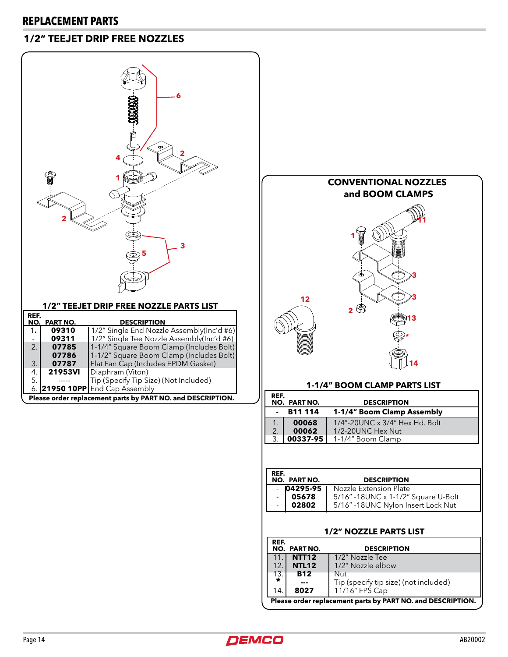#### **REPLACEMENT PARTS**

#### **1/2" TEEJET DRIP FREE NOZZLEs**



**Please order replacement parts by PART NO. and DESCRIPTION.**

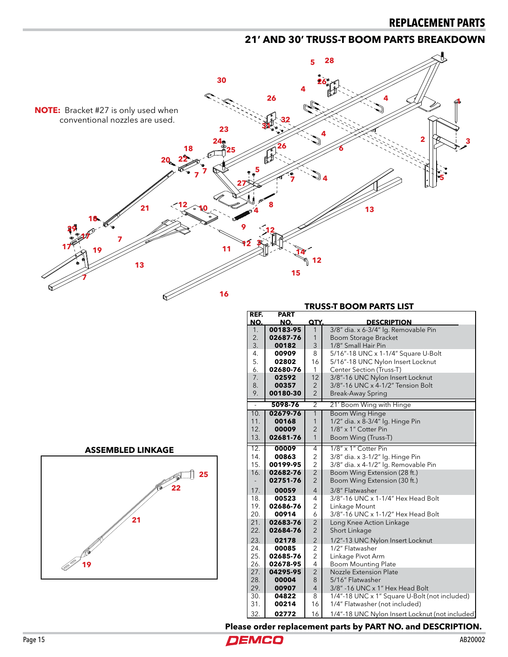#### **REPLACEMENT PARTS**

#### **21' And 30' TruSs-t boom parts breakdown**



**Please order replacement parts by PART NO. and DESCRIPTION.**

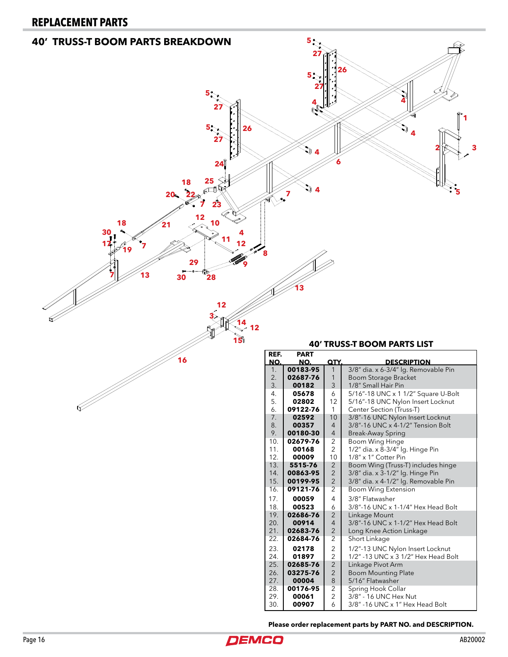**Contract Contract Contract Contract Contract Contract Contract Contract Contract Contract Contract Contract C** 

#### **40' TRUSS-T BOOM PARTS BREAKDOWN 2 3 5 1 4 4 4 4 4 4 5 5 6 7 7 7 7 8 9 10 11 12 12 12 12 13 13 14 3 15 17 30 19 18 20 21 22 23 24 25 26 27 27 26 28 29 30 5 5 27 27 18**

**16**

#### **40' TRUSS-T BOOM PARTS LIST**

| REF. | PART     |                |                                      |
|------|----------|----------------|--------------------------------------|
| NO.  | NO.      | QTY.           | <b>DESCRIPTION</b>                   |
| 1.   | 00183-95 | 1              | 3/8" dia. x 6-3/4" lg. Removable Pin |
| 2.   | 02687-76 | 1              | Boom Storage Bracket                 |
| 3.   | 00182    | 3              | 1/8" Small Hair Pin                  |
| 4.   | 05678    | 6              | 5/16"-18 UNC x 1 1/2" Square U-Bolt  |
| 5.   | 02802    | 12             | 5/16"-18 UNC Nylon Insert Locknut    |
| 6.   | 09122-76 | 1              | Center Section (Truss-T)             |
| 7.   | 02592    | 10             | 3/8"-16 UNC Nylon Insert Locknut     |
| 8.   | 00357    | 4              | 3/8"-16 UNC x 4-1/2" Tension Bolt    |
| 9.   | 00180-30 | $\overline{4}$ | Break-Away Spring                    |
| 10.  | 02679-76 | 2              | <b>Boom Wing Hinge</b>               |
| 11.  | 00168    | $\overline{2}$ | 1/2" dia. x 8-3/4" lg. Hinge Pin     |
| 12.  | 00009    | 10             | 1/8" x 1" Cotter Pin                 |
| 13.  | 5515-76  | $\overline{2}$ | Boom Wing (Truss-T) includes hinge   |
| 14.  | 00863-95 | $\overline{2}$ | 3/8" dia. x 3-1/2" lg. Hinge Pin     |
| 15.  | 00199-95 | $\overline{2}$ | 3/8" dia. x 4-1/2" lg. Removable Pin |
| 16.  | 09121-76 | $\overline{2}$ | <b>Boom Wing Extension</b>           |
| 17.  | 00059    | 4              | 3/8" Flatwasher                      |
| 18.  | 00523    | 6              | 3/8"-16 UNC x 1-1/4" Hex Head Bolt   |
| 19.  | 02686-76 | $\overline{2}$ | Linkage Mount                        |
| 20.  | 00914    | $\overline{4}$ | 3/8"-16 UNC x 1-1/2" Hex Head Bolt   |
| 21.  | 02683-76 | $\overline{2}$ | Long Knee Action Linkage             |
| 22.  | 02684-76 | $\overline{2}$ | Short Linkage                        |
| 23.  | 02178    | $\overline{2}$ | 1/2"-13 UNC Nylon Insert Locknut     |
| 24.  | 01897    | $\overline{2}$ | 1/2" -13 UNC x 3 1/2" Hex Head Bolt  |
| 25.  | 02685-76 | $\overline{2}$ | Linkage Pivot Arm                    |
| 26.  | 03275-76 | $\overline{2}$ | <b>Boom Mounting Plate</b>           |
| 27.  | 00004    | 8              | 5/16" Flatwasher                     |
| 28.  | 00176-95 | $\overline{2}$ | Spring Hook Collar                   |
| 29.  | 00061    | $\overline{2}$ | 3/8" - 16 UNC Hex Nut                |
| 30.  | 00907    | 6              | 3/8" -16 UNC x 1" Hex Head Bolt      |
|      |          |                |                                      |

**Please order replacement parts by PART NO. and DESCRIPTION.**

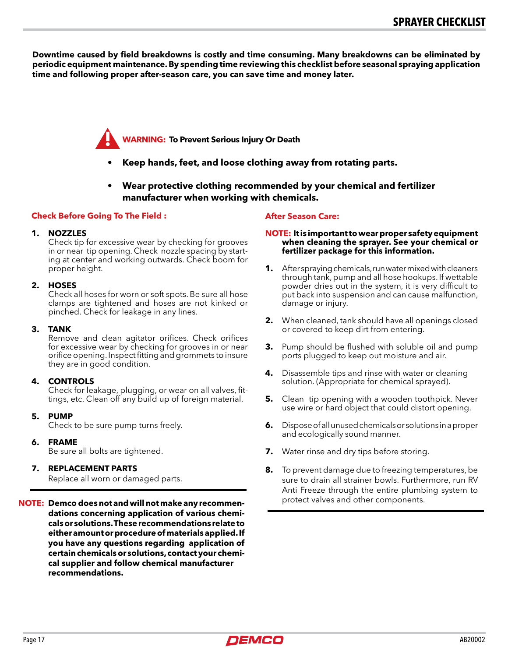**Downtime caused by field breakdowns is costly and time consuming. Many breakdowns can be eliminated by periodic equipment maintenance. By spending time reviewing this checklist before seasonal spraying application time and following proper after-season care, you can save time and money later.**

**WARNING: To Prevent Serious Injury Or Death** 

- **• Keep hands, feet, and loose clothing away from rotating parts.**
- **• Wear protective clothing recommended by your chemical and fertilizer manufacturer when working with chemicals.**

#### **Check Before Going To The Field :**

#### **1. NOZZLES**

Check tip for excessive wear by checking for grooves in or near tip opening. Check nozzle spacing by starting at center and working outwards. Check boom for proper height.

#### **2. HOSES**

Check all hoses for worn or soft spots. Be sure all hose clamps are tightened and hoses are not kinked or pinched. Check for leakage in any lines.

#### **3. TANK**

Remove and clean agitator orifices. Check orifices for excessive wear by checking for grooves in or near orifice opening. Inspect fitting and grommets to insure they are in good condition.

#### **4. CONTROLS**

Check for leakage, plugging, or wear on all valves, fittings, etc. Clean off any build up of foreign material.

#### **5. PUMP**

Check to be sure pump turns freely.

**6. FRAME** 

Be sure all bolts are tightened.

#### **7. REPLACEMENT PARTS**

Replace all worn or damaged parts.

**NOTE: Demco does not and will not make any recommendations concerning application of various chemicals or solutions. These recommendations relate to either amount or procedure of materials applied. If you have any questions regarding application of certain chemicals or solutions, contact your chemical supplier and follow chemical manufacturer recommendations.**

#### **After Season Care:**

#### **NOTE: It is important to wear proper safety equipment when cleaning the sprayer. See your chemical or fertilizer package for this information.**

- **1.** After spraying chemicals, run water mixed with cleaners through tank, pump and all hose hookups. If wettable powder dries out in the system, it is very difficult to put back into suspension and can cause malfunction, damage or injury.
- **2.** When cleaned, tank should have all openings closed or covered to keep dirt from entering.
- **3.** Pump should be flushed with soluble oil and pump ports plugged to keep out moisture and air.
- **4.** Disassemble tips and rinse with water or cleaning solution. (Appropriate for chemical sprayed).
- **5.** Clean tip opening with a wooden toothpick. Never use wire or hard object that could distort opening.
- **6.** Dispose of all unused chemicals or solutions in a proper and ecologically sound manner.
- **7.** Water rinse and dry tips before storing.
- **8.** To prevent damage due to freezing temperatures, be sure to drain all strainer bowls. Furthermore, run RV Anti Freeze through the entire plumbing system to protect valves and other components.

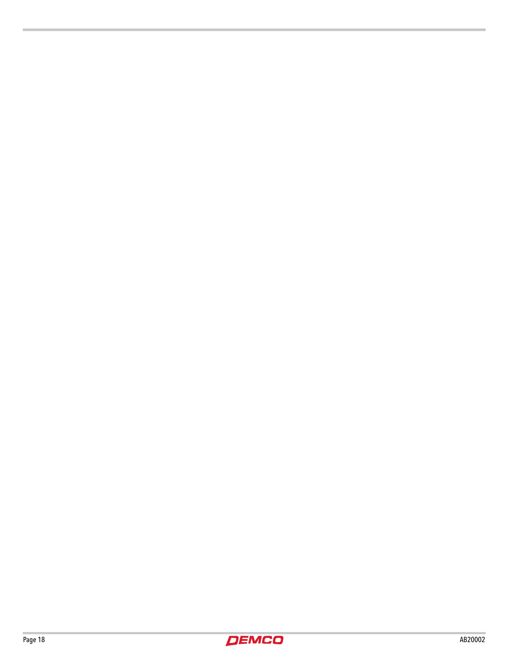

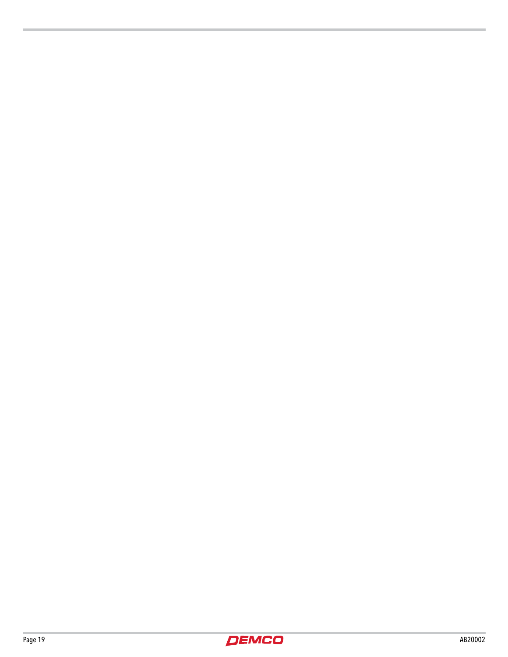